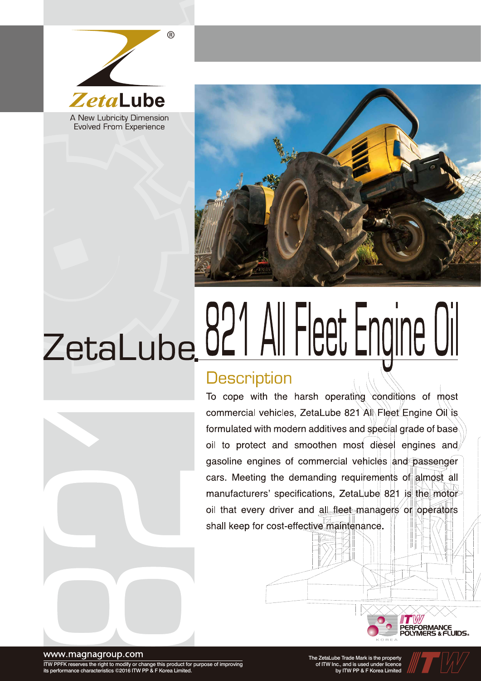

**Evolved From Experience** 



# ZetaLube 021 All Fleet Engine Oil

#### **Description**

To cope with the harsh operating conditions of most commercial vehicles, ZetaLube 821 All Fleet Engine Oil is formulated with modern additives and special grade of base oil to protect and smoothen most diesel engines and gasoline engines of commercial vehicles and passenger cars. Meeting the demanding requirements of almost all manufacturers' specifications, ZetaLube 821 is the motor oil that every driver and all fleet managers or operators shall keep for cost-effective maintenance.



www.magnagroup.com

ITW PPFK reserves the right to modify or change this product for purpose of improving its performance characteristics ©2016 ITW PP & F Korea Limited.

The ZetaLube Trade Mark is the property of ITW Inc., and is used under licence by ITW PP & F Korea Limited